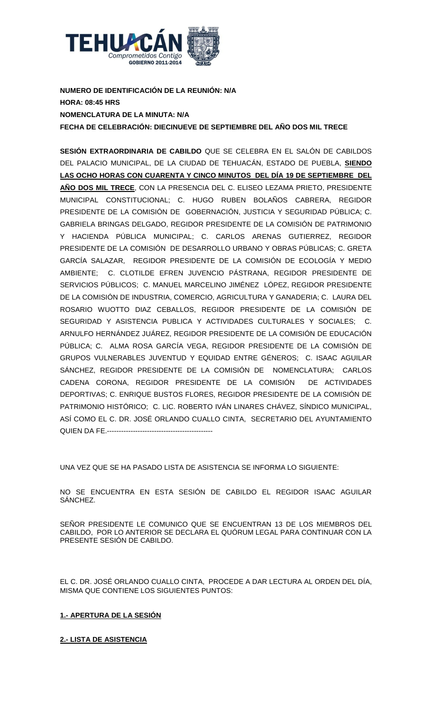

**NUMERO DE IDENTIFICACIÓN DE LA REUNIÓN: N/A HORA: 08:45 HRS NOMENCLATURA DE LA MINUTA: N/A FECHA DE CELEBRACIÓN: DIECINUEVE DE SEPTIEMBRE DEL AÑO DOS MIL TRECE**

**SESIÓN EXTRAORDINARIA DE CABILDO** QUE SE CELEBRA EN EL SALÓN DE CABILDOS DEL PALACIO MUNICIPAL, DE LA CIUDAD DE TEHUACÁN, ESTADO DE PUEBLA, **SIENDO LAS OCHO HORAS CON CUARENTA Y CINCO MINUTOS DEL DÍA 19 DE SEPTIEMBRE DEL AÑO DOS MIL TRECE**, CON LA PRESENCIA DEL C. ELISEO LEZAMA PRIETO, PRESIDENTE MUNICIPAL CONSTITUCIONAL; C. HUGO RUBEN BOLAÑOS CABRERA, REGIDOR PRESIDENTE DE LA COMISIÓN DE GOBERNACIÓN, JUSTICIA Y SEGURIDAD PÚBLICA; C. GABRIELA BRINGAS DELGADO, REGIDOR PRESIDENTE DE LA COMISIÓN DE PATRIMONIO Y HACIENDA PÚBLICA MUNICIPAL; C. CARLOS ARENAS GUTIERREZ, REGIDOR PRESIDENTE DE LA COMISIÓN DE DESARROLLO URBANO Y OBRAS PÚBLICAS; C. GRETA GARCÍA SALAZAR, REGIDOR PRESIDENTE DE LA COMISIÓN DE ECOLOGÍA Y MEDIO AMBIENTE; C. CLOTILDE EFREN JUVENCIO PÁSTRANA, REGIDOR PRESIDENTE DE SERVICIOS PÚBLICOS; C. MANUEL MARCELINO JIMÉNEZ LÓPEZ, REGIDOR PRESIDENTE DE LA COMISIÓN DE INDUSTRIA, COMERCIO, AGRICULTURA Y GANADERIA; C. LAURA DEL ROSARIO WUOTTO DIAZ CEBALLOS, REGIDOR PRESIDENTE DE LA COMISIÓN DE SEGURIDAD Y ASISTENCIA PUBLICA Y ACTIVIDADES CULTURALES Y SOCIALES; C. ARNULFO HERNÁNDEZ JUÁREZ, REGIDOR PRESIDENTE DE LA COMISIÓN DE EDUCACIÓN PÚBLICA; C. ALMA ROSA GARCÍA VEGA, REGIDOR PRESIDENTE DE LA COMISIÓN DE GRUPOS VULNERABLES JUVENTUD Y EQUIDAD ENTRE GÉNEROS; C. ISAAC AGUILAR SÁNCHEZ, REGIDOR PRESIDENTE DE LA COMISIÓN DE NOMENCLATURA; CARLOS CADENA CORONA, REGIDOR PRESIDENTE DE LA COMISIÓN DE ACTIVIDADES DEPORTIVAS; C. ENRIQUE BUSTOS FLORES, REGIDOR PRESIDENTE DE LA COMISIÓN DE PATRIMONIO HISTÓRICO; C. LIC. ROBERTO IVÁN LINARES CHÁVEZ, SÍNDICO MUNICIPAL, ASÍ COMO EL C. DR. JOSÉ ORLANDO CUALLO CINTA, SECRETARIO DEL AYUNTAMIENTO QUIEN DA FE.---------------------------------------------

UNA VEZ QUE SE HA PASADO LISTA DE ASISTENCIA SE INFORMA LO SIGUIENTE:

NO SE ENCUENTRA EN ESTA SESIÓN DE CABILDO EL REGIDOR ISAAC AGUILAR SÁNCHEZ.

SEÑOR PRESIDENTE LE COMUNICO QUE SE ENCUENTRAN 13 DE LOS MIEMBROS DEL CABILDO, POR LO ANTERIOR SE DECLARA EL QUÓRUM LEGAL PARA CONTINUAR CON LA PRESENTE SESIÓN DE CABILDO.

EL C. DR. JOSÉ ORLANDO CUALLO CINTA, PROCEDE A DAR LECTURA AL ORDEN DEL DÍA, MISMA QUE CONTIENE LOS SIGUIENTES PUNTOS:

## **1.- APERTURA DE LA SESIÓN**

## **2.- LISTA DE ASISTENCIA**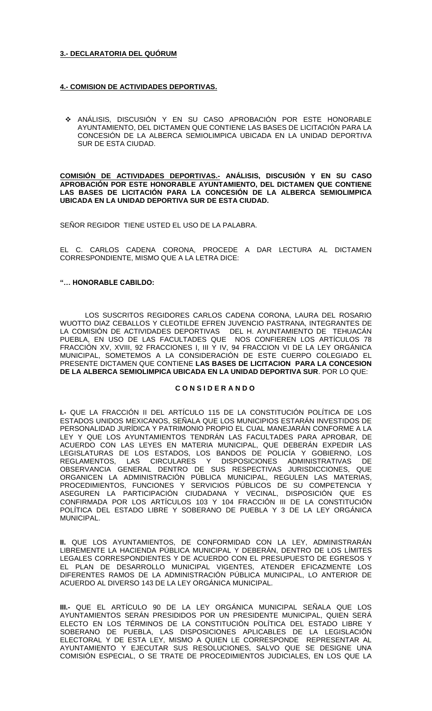## **3.- DECLARATORIA DEL QUÓRUM**

## **4.- COMISION DE ACTIVIDADES DEPORTIVAS.**

 ANÁLISIS, DISCUSIÓN Y EN SU CASO APROBACIÓN POR ESTE HONORABLE AYUNTAMIENTO, DEL DICTAMEN QUE CONTIENE LAS BASES DE LICITACIÓN PARA LA CONCESIÓN DE LA ALBERCA SEMIOLIMPICA UBICADA EN LA UNIDAD DEPORTIVA SUR DE ESTA CIUDAD.

**COMISIÓN DE ACTIVIDADES DEPORTIVAS.- ANÁLISIS, DISCUSIÓN Y EN SU CASO APROBACIÓN POR ESTE HONORABLE AYUNTAMIENTO, DEL DICTAMEN QUE CONTIENE LAS BASES DE LICITACIÓN PARA LA CONCESIÓN DE LA ALBERCA SEMIOLIMPICA UBICADA EN LA UNIDAD DEPORTIVA SUR DE ESTA CIUDAD.**

SEÑOR REGIDOR TIENE USTED EL USO DE LA PALABRA.

EL C. CARLOS CADENA CORONA, PROCEDE A DAR LECTURA AL DICTAMEN CORRESPONDIENTE, MISMO QUE A LA LETRA DICE:

## **"… HONORABLE CABILDO:**

LOS SUSCRITOS REGIDORES CARLOS CADENA CORONA, LAURA DEL ROSARIO WUOTTO DIAZ CEBALLOS Y CLEOTILDE EFREN JUVENCIO PASTRANA, INTEGRANTES DE LA COMISION DE ACTIVIDADES DEPORTIVAS DEL H. AYUNTAMIENTO DE TEHUACAN PUEBLA, EN USO DE LAS FACULTADES QUE NOS CONFIEREN LOS ARTÍCULOS 78 FRACCIÓN XV, XVIII, 92 FRACCIONES I, III Y IV, 94 FRACCION VI DE LA LEY ORGÁNICA MUNICIPAL, SOMETEMOS A LA CONSIDERACIÓN DE ESTE CUERPO COLEGIADO EL PRESENTE DICTAMEN QUE CONTIENE **LAS BASES DE LICITACION PARA LA CONCESION DE LA ALBERCA SEMIOLIMPICA UBICADA EN LA UNIDAD DEPORTIVA SUR**. POR LO QUE:

### **C O N S I D E R A N D O**

**I.-** QUE LA FRACCIÓN II DEL ARTÍCULO 115 DE LA CONSTITUCIÓN POLÍTICA DE LOS ESTADOS UNIDOS MEXICANOS, SEÑALA QUE LOS MUNICIPIOS ESTARÁN INVESTIDOS DE PERSONALIDAD JURÍDICA Y PATRIMONIO PROPIO EL CUAL MANEJARÁN CONFORME A LA LEY Y QUE LOS AYUNTAMIENTOS TENDRÁN LAS FACULTADES PARA APROBAR, DE ACUERDO CON LAS LEYES EN MATERIA MUNICIPAL, QUE DEBERÁN EXPEDIR LAS LEGISLATURAS DE LOS ESTADOS, LOS BANDOS DE POLICÍA Y GOBIERNO, LOS REGLAMENTOS, LAS CIRCULARES Y DISPOSICIONES ADMINISTRATIVAS DE OBSERVANCIA GENERAL DENTRO DE SUS RESPECTIVAS JURISDICCIONES, QUE ORGANICEN LA ADMINISTRACIÓN PÚBLICA MUNICIPAL, REGULEN LAS MATERIAS, PROCEDIMIENTOS, FUNCIONES Y SERVICIOS PÚBLICOS DE SU COMPETENCIA Y ASEGUREN LA PARTICIPACIÓN CIUDADANA Y VECINAL, DISPOSICIÓN QUE ES CONFIRMADA POR LOS ARTÍCULOS 103 Y 104 FRACCIÓN III DE LA CONSTITUCIÓN POLÍTICA DEL ESTADO LIBRE Y SOBERANO DE PUEBLA Y 3 DE LA LEY ORGÁNICA MUNICIPAL.

**II.** QUE LOS AYUNTAMIENTOS, DE CONFORMIDAD CON LA LEY, ADMINISTRARÁN LIBREMENTE LA HACIENDA PÚBLICA MUNICIPAL Y DEBERÁN, DENTRO DE LOS LÍMITES LEGALES CORRESPONDIENTES Y DE ACUERDO CON EL PRESUPUESTO DE EGRESOS Y EL PLAN DE DESARROLLO MUNICIPAL VIGENTES, ATENDER EFICAZMENTE LOS DIFERENTES RAMOS DE LA ADMINISTRACIÓN PÚBLICA MUNICIPAL, LO ANTERIOR DE ACUERDO AL DIVERSO 143 DE LA LEY ORGÁNICA MUNICIPAL.

**III.-** QUE EL ARTÍCULO 90 DE LA LEY ORGÁNICA MUNICIPAL SEÑALA QUE LOS AYUNTAMIENTOS SERÁN PRESIDIDOS POR UN PRESIDENTE MUNICIPAL, QUIEN SERÁ ELECTO EN LOS TÉRMINOS DE LA CONSTITUCIÓN POLÍTICA DEL ESTADO LIBRE Y SOBERANO DE PUEBLA, LAS DISPOSICIONES APLICABLES DE LA LEGISLACIÓN ELECTORAL Y DE ESTA LEY, MISMO A QUIEN LE CORRESPONDE REPRESENTAR AL AYUNTAMIENTO Y EJECUTAR SUS RESOLUCIONES, SALVO QUE SE DESIGNE UNA COMISIÓN ESPECIAL, O SE TRATE DE PROCEDIMIENTOS JUDICIALES, EN LOS QUE LA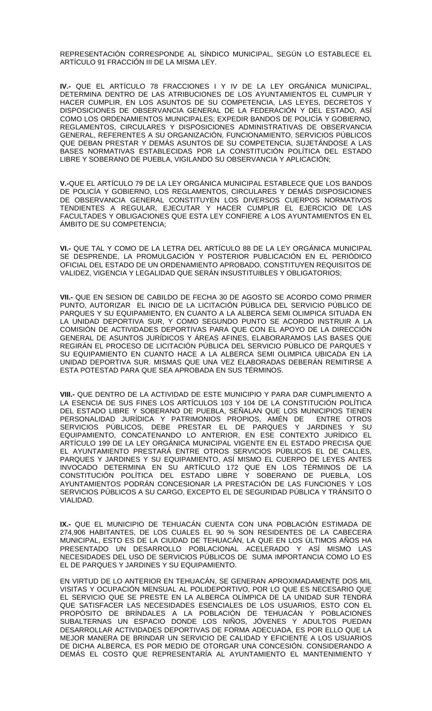REPRESENTACIÓN CORRESPONDE AL SÍNDICO MUNICIPAL, SEGÚN LO ESTABLECE EL ARTÍCULO 91 FRACCIÓN III DE LA MISMA LEY.

**IV.-** QUE EL ARTÍCULO 78 FRACCIONES I Y IV DE LA LEY ORGÁNICA MUNICIPAL, DETERMINA DENTRO DE LAS ATRIBUCIONES DE LOS AYUNTAMIENTOS EL CUMPLIR Y HACER CUMPLIR, EN LOS ASUNTOS DE SU COMPETENCIA, LAS LEYES, DECRETOS Y DISPOSICIONES DE OBSERVANCIA GENERAL DE LA FEDERACIÓN Y DEL ESTADO, ASÍ COMO LOS ORDENAMIENTOS MUNICIPALES; EXPEDIR BANDOS DE POLICÍA Y GOBIERNO, REGLAMENTOS, CIRCULARES Y DISPOSICIONES ADMINISTRATIVAS DE OBSERVANCIA GENERAL, REFERENTES A SU ORGANIZACIÓN, FUNCIONAMIENTO, SERVICIOS PÚBLICOS QUE DEBAN PRESTAR Y DEMÁS ASUNTOS DE SU COMPETENCIA, SUJETÁNDOSE A LAS BASES NORMATIVAS ESTABLECIDAS POR LA CONSTITUCIÓN POLÍTICA DEL ESTADO LIBRE Y SOBERANO DE PUEBLA, VIGILANDO SU OBSERVANCIA Y APLICACIÓN;

**V.-**QUE EL ARTÍCULO 79 DE LA LEY ORGÁNICA MUNICIPAL ESTABLECE QUE LOS BANDOS DE POLICÍA Y GOBIERNO, LOS REGLAMENTOS, CIRCULARES Y DEMÁS DISPOSICIONES DE OBSERVANCIA GENERAL CONSTITUYEN LOS DIVERSOS CUERPOS NORMATIVOS TENDIENTES A REGULAR, EJECUTAR Y HACER CUMPLIR EL EJERCICIO DE LAS FACULTADES Y OBLIGACIONES QUE ESTA LEY CONFIERE A LOS AYUNTAMIENTOS EN EL ÁMBITO DE SU COMPETENCIA;

**VI.-** QUE TAL Y COMO DE LA LETRA DEL ARTÍCULO 88 DE LA LEY ORGÁNICA MUNICIPAL SE DESPRENDE, LA PROMULGACIÓN Y POSTERIOR PUBLICACIÓN EN EL PERIÓDICO OFICIAL DEL ESTADO DE UN ORDENAMIENTO APROBADO, CONSTITUYEN REQUISITOS DE VALIDEZ, VIGENCIA Y LEGALIDAD QUE SERÁN INSUSTITUIBLES Y OBLIGATORIOS;

**VII.-** QUE EN SESION DE CABILDO DE FECHA 30 DE AGOSTO SE ACORDO COMO PRIMER PUNTO, AUTORIZAR EL INICIO DE LA LICITACIÓN PÚBLICA DEL SERVICIO PÚBLICO DE PARQUES Y SU EQUIPAMIENTO, EN CUANTO A LA ALBERCA SEMI OLIMPICA SITUADA EN LA UNIDAD DEPORTIVA SUR, Y COMO SEGUNDO PUNTO SE ACORDO INSTRUIR A LA COMISIÓN DE ACTIVIDADES DEPORTIVAS PARA QUE CON EL APOYO DE LA DIRECCIÓN GENERAL DE ASUNTOS JURÍDICOS Y ÁREAS AFINES, ELABORARAMOS LAS BASES QUE REGIRÁN EL PROCESO DE LICITACIÓN PÚBLICA DEL SERVICIO PÚBLICO DE PARQUES Y SU EQUIPAMIENTO EN CUANTO HACE A LA ALBERCA SEMI OLIMPICA UBICADA EN LA UNIDAD DEPORTIVA SUR. MISMAS QUE UNA VEZ ELABORADAS DEBERÁN REMITIRSE A ESTA POTESTAD PARA QUE SEA APROBADA EN SUS TÉRMINOS.

**VIII.-** QUE DENTRO DE LA ACTIVIDAD DE ESTE MUNICIPIO Y PARA DAR CUMPLIMIENTO A LA ESENCIA DE SUS FINES LOS ARTÍCULOS 103 Y 104 DE LA CONSTITUCIÓN POLÍTICA DEL ESTADO LIBRE Y SOBERANO DE PUEBLA, SENALAN QUE LOS MUNICIPIOS TIENEN PERSONALIDAD JURÍDICA Y PATRIMONIOS PROPIOS, AMÉN DE ENTRE OTROS SERVICIOS PÚBLICOS, DEBE PRESTAR EL DE PARQUES Y JARDINES Y SU EQUIPAMIENTO, CONCATENANDO LO ANTERIOR, EN ESE CONTEXTO JURÍDICO EL ARTÍCULO 199 DE LA LEY ORGÁNICA MUNICIPAL VIGENTE EN EL ESTADO PRECISA QUE EL AYUNTAMIENTO PRESTARÁ ENTRE OTROS SERVICIOS PÚBLICOS EL DE CALLES, PARQUES Y JARDINES Y SU EQUIPAMIENTO, ASÍ MISMO EL CUERPO DE LEYES ANTES INVOCADO DETERMINA EN SU ARTÍCULO 172 QUE EN LOS TÉRMINOS DE LA CONSTITUCIÓN POLÍTICA DEL ESTADO LIBRE Y SOBERANO DE PUEBLA, LOS AYUNTAMIENTOS PODRÁN CONCESIONAR LA PRESTACIÓN DE LAS FUNCIONES Y LOS SERVICIOS PÚBLICOS A SU CARGO, EXCEPTO EL DE SEGURIDAD PÚBLICA Y TRÁNSITO O VIALIDAD.

**IX.-** QUE EL MUNICIPIO DE TEHUACÁN CUENTA CON UNA POBLACIÓN ESTIMADA DE 274,906 HABITANTES, DE LOS CUALES EL 90 % SON RESIDENTES DE LA CABECERA MUNICIPAL, ESTO ES DE LA CIUDAD DE TEHUACÁN, LA QUE EN LOS ÚLTIMOS AÑOS HA PRESENTADO UN DESARROLLO POBLACIONAL ACELERADO Y ASÍ MISMO LAS NECESIDADES DEL USO DE SERVICIOS PÚBLICOS DE SUMA IMPORTANCIA COMO LO ES EL DE PARQUES Y JARDINES Y SU EQUIPAMIENTO.

EN VIRTUD DE LO ANTERIOR EN TEHUACÁN, SE GENERAN APROXIMADAMENTE DOS MIL VISITAS Y OCUPACIÓN MENSUAL AL POLIDEPORTIVO, POR LO QUE ES NECESARIO QUE EL SERVICIO QUE SE PRESTE EN LA ALBERCA OLÍMPICA DE LA UNIDAD SUR TENDRÁ QUE SATISFACER LAS NECESIDADES ESENCIALES DE LOS USUARIOS, ESTO CON EL PROPÓSITO DE BRÍNDALES A LA POBLACIÓN DE TEHUACÁN Y POBLACIONES SUBALTERNAS UN ESPACIO DONDE LOS NIÑOS, JÓVENES Y ADULTOS PUEDAN DESARROLLAR ACTIVIDADES DEPORTIVAS DE FORMA ADECUADA, ES POR ELLO QUE LA MEJOR MANERA DE BRINDAR UN SERVICIO DE CALIDAD Y EFICIENTE A LOS USUARIOS DE DICHA ALBERCA, ES POR MEDIO DE OTORGAR UNA CONCESIÓN. CONSIDERANDO A DEMÁS EL COSTO QUE REPRESENTARÍA AL AYUNTAMIENTO EL MANTENIMIENTO Y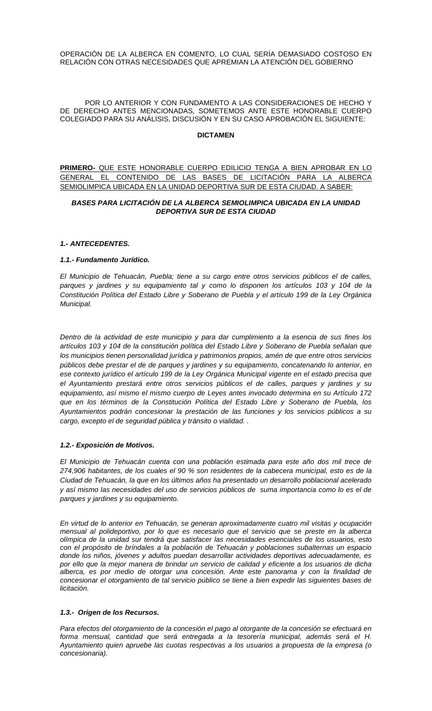OPERACIÓN DE LA ALBERCA EN COMENTO, LO CUAL SERÍA DEMASIADO COSTOSO EN RELACIÓN CON OTRAS NECESIDADES QUE APREMIAN LA ATENCIÓN DEL GOBIERNO

POR LO ANTERIOR Y CON FUNDAMENTO A LAS CONSIDERACIONES DE HECHO Y DE DERECHO ANTES MENCIONADAS, SOMETEMOS ANTE ESTE HONORABLE CUERPO COLEGIADO PARA SU ANÁLISIS, DISCUSIÓN Y EN SU CASO APROBACIÓN EL SIGUIENTE:

## **DICTAMEN**

**PRIMERO-** QUE ESTE HONORABLE CUERPO EDILICIO TENGA A BIEN APROBAR EN LO GENERAL EL CONTENIDO DE LAS BASES DE LICITACIÓN PARA LA ALBERCA SEMIOLIMPICA UBICADA EN LA UNIDAD DEPORTIVA SUR DE ESTA CIUDAD. A SABER:

## *BASES PARA LICITACIÓN DE LA ALBERCA SEMIOLIMPICA UBICADA EN LA UNIDAD DEPORTIVA SUR DE ESTA CIUDAD*

### *1.- ANTECEDENTES.*

### *1.1.- Fundamento Jurídico.*

*El Municipio de Tehuacán, Puebla; tiene a su cargo entre otros servicios públicos el de calles, parques y jardines y su equipamiento tal y como lo disponen los artículos 103 y 104 de la Constitución Política del Estado Libre y Soberano de Puebla y el artículo 199 de la Ley Orgánica Municipal.*

*Dentro de la actividad de este municipio y para dar cumplimiento a la esencia de sus fines los artículos 103 y 104 de la constitución política del Estado Libre y Soberano de Puebla señalan que los municipios tienen personalidad jurídica y patrimonios propios, amén de que entre otros servicios públicos debe prestar el de de parques y jardines y su equipamiento, concatenando lo anterior, en ese contexto jurídico el artículo 199 de la Ley Orgánica Municipal vigente en el estado precisa que el Ayuntamiento prestará entre otros servicios públicos el de calles, parques y jardines y su equipamiento, así mismo el mismo cuerpo de Leyes antes invocado determina en su Artículo 172 que en los términos de la Constitución Política del Estado Libre y Soberano de Puebla, los Ayuntamientos podrán concesionar la prestación de las funciones y los servicios públicos a su cargo, excepto el de seguridad pública y tránsito o vialidad. .*

## *1.2.- Exposición de Motivos.*

*El Municipio de Tehuacán cuenta con una población estimada para este año dos mil trece de 274,906 habitantes, de los cuales el 90 % son residentes de la cabecera municipal, esto es de la Ciudad de Tehuacán, la que en los últimos años ha presentado un desarrollo poblacional acelerado y así mismo las necesidades del uso de servicios públicos de suma importancia como lo es el de parques y jardines y su equipamiento.*

*En virtud de lo anterior en Tehuacán, se generan aproximadamente cuatro mil visitas y ocupación mensual al polideportivo, por lo que es necesario que el servicio que se preste en la alberca olímpica de la unidad sur tendrá que satisfacer las necesidades esenciales de los usuarios, esto con el propósito de bríndales a la población de Tehuacán y poblaciones subalternas un espacio donde los niños, jóvenes y adultos puedan desarrollar actividades deportivas adecuadamente, es por ello que la mejor manera de brindar un servicio de calidad y eficiente a los usuarios de dicha alberca, es por medio de otorgar una concesión. Ante este panorama y con la finalidad de concesionar el otorgamiento de tal servicio público se tiene a bien expedir las siguientes bases de licitación.*

## *1.3.- Origen de los Recursos.*

*Para efectos del otorgamiento de la concesión el pago al otorgante de la concesión se efectuará en forma mensual, cantidad que será entregada a la tesorería municipal, además será el H. Ayuntamiento quien apruebe las cuotas respectivas a los usuarios a propuesta de la empresa (o concesionaria).*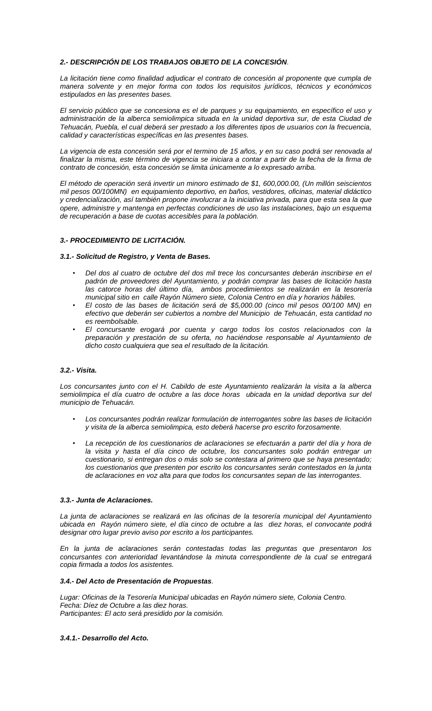## *2.- DESCRIPCIÓN DE LOS TRABAJOS OBJETO DE LA CONCESIÓN.*

*La licitación tiene como finalidad adjudicar el contrato de concesión al proponente que cumpla de manera solvente y en mejor forma con todos los requisitos jurídicos, técnicos y económicos estipulados en las presentes bases.*

*El servicio público que se concesiona es el de parques y su equipamiento, en específico el uso y administración de la alberca semiolimpica situada en la unidad deportiva sur, de esta Ciudad de Tehuacán, Puebla, el cual deberá ser prestado a los diferentes tipos de usuarios con la frecuencia, calidad y características específicas en las presentes bases.*

*La vigencia de esta concesión será por el termino de 15 años, y en su caso podrá ser renovada al finalizar la misma, este término de vigencia se iniciara a contar a partir de la fecha de la firma de contrato de concesión, esta concesión se limita únicamente a lo expresado arriba.*

*El método de operación será invertir un minoro estimado de \$1, 600,000.00, (Un millón seiscientos mil pesos 00/100MN) en equipamiento deportivo, en baños, vestidores, oficinas, material didáctico y credencialización, así también propone involucrar a la iniciativa privada, para que esta sea la que opere, administre y mantenga en perfectas condiciones de uso las instalaciones, bajo un esquema de recuperación a base de cuotas accesibles para la población.*

## *3.- PROCEDIMIENTO DE LICITACIÓN.*

## *3.1.- Solicitud de Registro, y Venta de Bases.*

- *Del dos al cuatro de octubre del dos mil trece los concursantes deberán inscribirse en el padrón de proveedores del Ayuntamiento, y podrán comprar las bases de licitación hasta las catorce horas del último día, ambos procedimientos se realizarán en la tesorería municipal sitio en calle Rayón Número siete, Colonia Centro en día y horarios hábiles.*
- *El costo de las bases de licitación será de \$5,000.00 (cinco mil pesos 00/100 MN) en efectivo que deberán ser cubiertos a nombre del Municipio de Tehuacán, esta cantidad no es reembolsable.*
- *El concursante erogará por cuenta y cargo todos los costos relacionados con la preparación y prestación de su oferta, no haciéndose responsable al Ayuntamiento de dicho costo cualquiera que sea el resultado de la licitación.*

#### *3.2.- Visita.*

*Los concursantes junto con el H. Cabildo de este Ayuntamiento realizarán la visita a la alberca*  semiolimpica el día cuatro de octubre a las doce horas ubicada en la unidad deportiva sur del *municipio de Tehuacán.*

- *Los concursantes podrán realizar formulación de interrogantes sobre las bases de licitación y visita de la alberca semiolimpica, esto deberá hacerse pro escrito forzosamente.*
- *La recepción de los cuestionarios de aclaraciones se efectuarán a partir del día y hora de*  la visita y hasta el día cinco de octubre, los concursantes solo podrán entregar un *cuestionario, si entregan dos o más solo se contestara al primero que se haya presentado; los cuestionarios que presenten por escrito los concursantes serán contestados en la junta de aclaraciones en voz alta para que todos los concursantes sepan de las interrogantes.*

#### *3.3.- Junta de Aclaraciones.*

*La junta de aclaraciones se realizará en las oficinas de la tesorería municipal del Ayuntamiento ubicada en Rayón número siete, el día cinco de octubre a las diez horas, el convocante podrá designar otro lugar previo aviso por escrito a los participantes.*

*En la junta de aclaraciones serán contestadas todas las preguntas que presentaron los concursantes con anterioridad levantándose la minuta correspondiente de la cual se entregará copia firmada a todos los asistentes.*

#### *3.4.- Del Acto de Presentación de Propuestas.*

*Lugar: Oficinas de la Tesorería Municipal ubicadas en Rayón número siete, Colonia Centro. Fecha: Díez de Octubre a las diez horas. Participantes: El acto será presidido por la comisión.* 

#### *3.4.1.- Desarrollo del Acto.*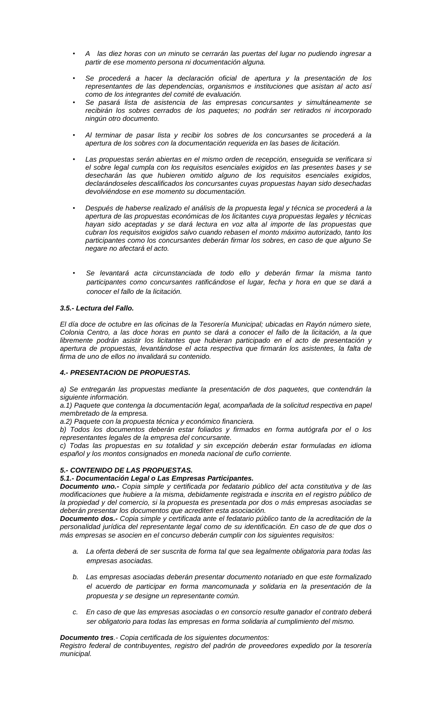- *A las diez horas con un minuto se cerrarán las puertas del lugar no pudiendo ingresar a partir de ese momento persona ni documentación alguna.*
- *Se procederá a hacer la declaración oficial de apertura y la presentación de los representantes de las dependencias, organismos e instituciones que asistan al acto así como de los integrantes del comité de evaluación.*
- *Se pasará lista de asistencia de las empresas concursantes y simultáneamente se recibirán los sobres cerrados de los paquetes; no podrán ser retirados ni incorporado ningún otro documento.*
- *Al terminar de pasar lista y recibir los sobres de los concursantes se procederá a la apertura de los sobres con la documentación requerida en las bases de licitación.*
- *Las propuestas serán abiertas en el mismo orden de recepción, enseguida se verificara si el sobre legal cumpla con los requisitos esenciales exigidos en las presentes bases y se desecharán las que hubieren omitido alguno de los requisitos esenciales exigidos, declarándoseles descalificados los concursantes cuyas propuestas hayan sido desechadas devolviéndose en ese momento su documentación.*
- *Después de haberse realizado el análisis de la propuesta legal y técnica se procederá a la apertura de las propuestas económicas de los licitantes cuya propuestas legales y técnicas hayan sido aceptadas y se dará lectura en voz alta al importe de las propuestas que cubran los requisitos exigidos salvo cuando rebasen el monto máximo autorizado, tanto los participantes como los concursantes deberán firmar los sobres, en caso de que alguno Se negare no afectará el acto.*
- *Se levantará acta circunstanciada de todo ello y deberán firmar la misma tanto participantes como concursantes ratificándose el lugar, fecha y hora en que se dará a conocer el fallo de la licitación.*

## *3.5.- Lectura del Fallo.*

*El día doce de octubre en las oficinas de la Tesorería Municipal; ubicadas en Rayón número siete, Colonia Centro, a las doce horas en punto se dará a conocer el fallo de la licitación, a la que libremente podrán asistir los licitantes que hubieran participado en el acto de presentación y apertura de propuestas, levantándose el acta respectiva que firmarán los asistentes, la falta de firma de uno de ellos no invalidará su contenido.*

## *4.- PRESENTACION DE PROPUESTAS.*

*a) Se entregarán las propuestas mediante la presentación de dos paquetes, que contendrán la siguiente información.*

*a.1) Paquete que contenga la documentación legal, acompañada de la solicitud respectiva en papel membretado de la empresa.*

*a.2) Paquete con la propuesta técnica y económico financiera.*

*b) Todos los documentos deberán estar foliados y firmados en forma autógrafa por el o los representantes legales de la empresa del concursante.*

*c) Todas las propuestas en su totalidad y sin excepción deberán estar formuladas en idioma español y los montos consignados en moneda nacional de cuño corriente.*

## *5.- CONTENIDO DE LAS PROPUESTAS.*

## *5.1.- Documentación Legal o Las Empresas Participantes.*

*Documento uno.- Copia simple y certificada por fedatario público del acta constitutiva y de las modificaciones que hubiere a la misma, debidamente registrada e inscrita en el registro público de la propiedad y del comercio, si la propuesta es presentada por dos o más empresas asociadas se deberán presentar los documentos que acrediten esta asociación.*

*Documento dos.- Copia simple y certificada ante el fedatario público tanto de la acreditación de la personalidad jurídica del representante legal como de su identificación. En caso de de que dos o más empresas se asocien en el concurso deberán cumplir con los siguientes requisitos:*

- *a. La oferta deberá de ser suscrita de forma tal que sea legalmente obligatoria para todas las empresas asociadas.*
- *b. Las empresas asociadas deberán presentar documento notariado en que este formalizado el acuerdo de participar en forma mancomunada y solidaria en la presentación de la propuesta y se designe un representante común.*
- *c. En caso de que las empresas asociadas o en consorcio resulte ganador el contrato deberá ser obligatorio para todas las empresas en forma solidaria al cumplimiento del mismo.*

*Documento tres.- Copia certificada de los siguientes documentos:*

*Registro federal de contribuyentes, registro del padrón de proveedores expedido por la tesorería municipal.*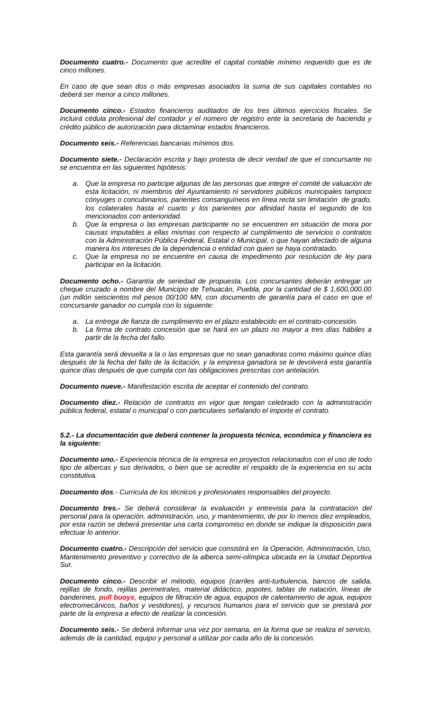*Documento cuatro.- Documento que acredite el capital contable mínimo requerido que es de cinco millones.*

*En caso de que sean dos o más empresas asociados la suma de sus capitales contables no deberá ser menor a cinco millones.*

*Documento cinco.- Estados financieros auditados de los tres últimos ejercicios fiscales. Se incluirá cédula profesional del contador y el número de registro ente la secretaria de hacienda y crédito público de autorización para dictaminar estados financieros.*

*Documento seis.- Referencias bancarias mínimos dos.*

*Documento siete.- Declaración escrita y bajo protesta de decir verdad de que el concursante no se encuentra en las siguientes hipótesis:*

- *a. Que la empresa no participe algunas de las personas que integre el comité de valuación de esta licitación, ni miembros del Ayuntamiento ni servidores públicos municipales tampoco cónyuges o concubinarios, parientes consanguíneos en línea recta sin limitación de grado, los colaterales hasta el cuarto y los parientes por afinidad hasta el segundo de los mencionados con anterioridad.*
- *b. Que la empresa o las empresas participante no se encuentren en situación de mora por causas imputables a ellas mismas con respecto al cumplimiento de servicios o contratos con la Administración Pública Federal, Estatal o Municipal, o que hayan afectado de alguna manera los intereses de la dependencia o entidad con quien se haya contratado.*
- *c. Que la empresa no se encuentre en causa de impedimento por resolución de ley para participar en la licitación.*

*Documento ocho.- Garantía de seriedad de propuesta. Los concursantes deberán entregar un cheque cruzado a nombre del Municipio de Tehuacán, Puebla, por la cantidad de \$ 1,600,000.00 (un millón seiscientos mil pesos 00/100 MN, con documento de garantía para el caso en que el concursante ganador no cumpla con lo siguiente:*

- *a. La entrega de fianza de cumplimiento en el plazo establecido en el contrato-concesión.*
- *b. La firma de contrato concesión que se hará en un plazo no mayor a tres días hábiles a partir de la fecha del fallo.*

*Esta garantía será devuelta a la o las empresas que no sean ganadoras como máximo quince días después de la fecha del fallo de la licitación, y la empresa ganadora se le devolverá esta garantía quince días después de que cumpla con las obligaciones prescritas con antelación.*

*Documento nueve.- Manifestación escrita de aceptar el contenido del contrato.*

*Documento diez.- Relación de contratos en vigor que tengan celebrado con la administración pública federal, estatal o municipal o con particulares señalando el importe el contrato.*

#### *5.2.- La documentación que deberá contener la propuesta técnica, económica y financiera es la siguiente:*

*Documento uno.- Experiencia técnica de la empresa en proyectos relacionados con el uso de todo tipo de albercas y sus derivados, o bien que se acredite el respaldo de la experiencia en su acta constitutiva.*

*Documento dos.- Curricula de los técnicos y profesionales responsables del proyecto.*

*Documento tres.- Se deberá considerar la evaluación y entrevista para la contratación del personal para la operación, administración, uso, y mantenimiento, de por lo menos diez empleados, por esta razón se deberá presentar una carta compromiso en donde se indique la disposición para efectuar lo anterior.*

*Documento cuatro.- Descripción del servicio que consistirá en la Operación, Administración, Uso, Mantenimiento preventivo y correctivo de la alberca semi-olímpica ubicada en la Unidad Deportiva Sur.* 

*Documento cinco.- Describir el método, equipos (carriles anti-turbulencia, bancos de salida, rejillas de fondo, rejillas perimetrales, material didáctico, popotes, tablas de natación, líneas de banderines, pull buoys, equipos de filtración de agua, equipos de calentamiento de agua, equipos electromecánicos, baños y vestidores), y recursos humanos para el servicio que se prestará por parte de la empresa a efecto de realizar la concesión.*

*Documento seis.- Se deberá informar una vez por semana, en la forma que se realiza el servicio, además de la cantidad, equipo y personal a utilizar por cada año de la concesión.*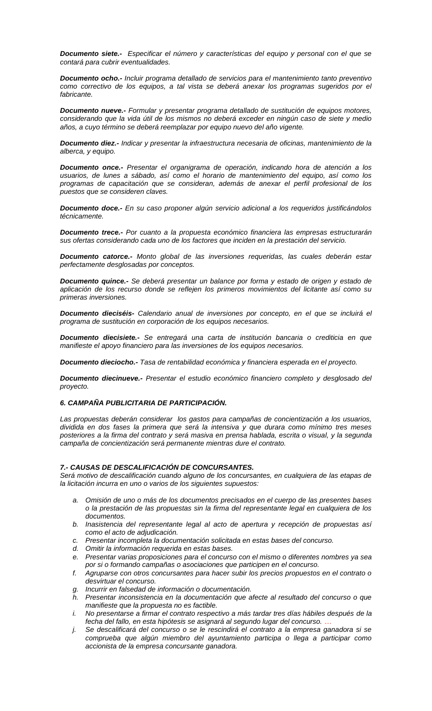*Documento siete.- Especificar el número y características del equipo y personal con el que se contará para cubrir eventualidades.*

*Documento ocho.- Incluir programa detallado de servicios para el mantenimiento tanto preventivo*  como correctivo de los equipos, a tal vista se deberá anexar los programas sugeridos por el *fabricante.*

*Documento nueve.- Formular y presentar programa detallado de sustitución de equipos motores, considerando que la vida útil de los mismos no deberá exceder en ningún caso de siete y medio años, a cuyo término se deberá reemplazar por equipo nuevo del año vigente.*

*Documento diez.- Indicar y presentar la infraestructura necesaria de oficinas, mantenimiento de la alberca, y equipo.* 

*Documento once.- Presentar el organigrama de operación, indicando hora de atención a los usuarios, de lunes a sábado, así como el horario de mantenimiento del equipo, así como los programas de capacitación que se consideran, además de anexar el perfil profesional de los puestos que se consideren claves.*

*Documento doce.- En su caso proponer algún servicio adicional a los requeridos justificándolos técnicamente.*

*Documento trece.- Por cuanto a la propuesta económico financiera las empresas estructurarán sus ofertas considerando cada uno de los factores que inciden en la prestación del servicio.*

*Documento catorce.- Monto global de las inversiones requeridas, las cuales deberán estar perfectamente desglosadas por conceptos.*

*Documento quince.- Se deberá presentar un balance por forma y estado de origen y estado de aplicación de los recurso donde se reflejen los primeros movimientos del licitante así como su primeras inversiones.* 

*Documento dieciséis- Calendario anual de inversiones por concepto, en el que se incluirá el programa de sustitución en corporación de los equipos necesarios.*

*Documento diecisiete.- Se entregará una carta de institución bancaria o crediticia en que manifieste el apoyo financiero para las inversiones de los equipos necesarios.*

*Documento dieciocho.- Tasa de rentabilidad económica y financiera esperada en el proyecto.*

*Documento diecinueve.- Presentar el estudio económico financiero completo y desglosado del proyecto.* 

#### *6. CAMPAÑA PUBLICITARIA DE PARTICIPACIÓN.*

*Las propuestas deberán considerar los gastos para campañas de concientización a los usuarios, dividida en dos fases la primera que será la intensiva y que durara como mínimo tres meses posteriores a la firma del contrato y será masiva en prensa hablada, escrita o visual, y la segunda campaña de concientización será permanente mientras dure el contrato.*

#### *7.- CAUSAS DE DESCALIFICACIÓN DE CONCURSANTES.*

*Será motivo de descalificación cuando alguno de los concursantes, en cualquiera de las etapas de la licitación incurra en uno o varios de los siguientes supuestos:*

- *a. Omisión de uno o más de los documentos precisados en el cuerpo de las presentes bases o la prestación de las propuestas sin la firma del representante legal en cualquiera de los documentos.*
- *b. Inasistencia del representante legal al acto de apertura y recepción de propuestas así como el acto de adjudicación.*
- *c. Presentar incompleta la documentación solicitada en estas bases del concurso.*
- *d. Omitir la información requerida en estas bases.*
- *e. Presentar varias proposiciones para el concurso con el mismo o diferentes nombres ya sea por si o formando campañas o asociaciones que participen en el concurso.*
- *f. Agruparse con otros concursantes para hacer subir los precios propuestos en el contrato o desvirtuar el concurso.*
- *g. Incurrir en falsedad de información o documentación.*
- *h. Presentar inconsistencia en la documentación que afecte al resultado del concurso o que manifieste que la propuesta no es factible.*
- *i. No presentarse a firmar el contrato respectivo a más tardar tres días hábiles después de la fecha del fallo, en esta hipótesis se asignará al segundo lugar del concurso. …*
- *j. Se descalificará del concurso o se le rescindirá el contrato a la empresa ganadora si se comprueba que algún miembro del ayuntamiento participa o llega a participar como accionista de la empresa concursante ganadora.*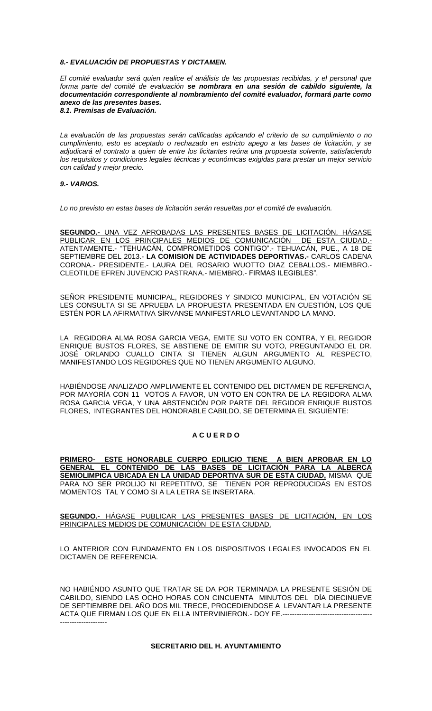## *8.- EVALUACIÓN DE PROPUESTAS Y DICTAMEN.*

*El comité evaluador será quien realice el análisis de las propuestas recibidas, y el personal que forma parte del comité de evaluación se nombrara en una sesión de cabildo siguiente, la documentación correspondiente al nombramiento del comité evaluador, formará parte como anexo de las presentes bases. 8.1. Premisas de Evaluación.*

*La evaluación de las propuestas serán calificadas aplicando el criterio de su cumplimiento o no cumplimiento, esto es aceptado o rechazado en estricto apego a las bases de licitación, y se adjudicará el contrato a quien de entre los licitantes reúna una propuesta solvente, satisfaciendo los requisitos y condiciones legales técnicas y económicas exigidas para prestar un mejor servicio con calidad y mejor precio.*

#### *9.- VARIOS.*

*Lo no previsto en estas bases de licitación serán resueltas por el comité de evaluación.* 

**SEGUNDO.-** UNA VEZ APROBADAS LAS PRESENTES BASES DE LICITACIÓN, HÁGASE PUBLICAR EN LOS PRINCIPALES MEDIOS DE COMUNICACIÓN DE ESTA CIUDAD.- ATENTAMENTE.- "TEHUACÁN, COMPROMETIDOS CONTIGO".- TEHUACÁN, PUE., A 18 DE SEPTIEMBRE DEL 2013.- **LA COMISION DE ACTIVIDADES DEPORTIVAS.-** CARLOS CADENA CORONA.- PRESIDENTE.- LAURA DEL ROSARIO WUOTTO DIAZ CEBALLOS.- MIEMBRO.- CLEOTILDE EFREN JUVENCIO PASTRANA.- MIEMBRO.- FIRMAS ILEGIBLES".

SEÑOR PRESIDENTE MUNICIPAL, REGIDORES Y SINDICO MUNICIPAL, EN VOTACIÓN SE LES CONSULTA SI SE APRUEBA LA PROPUESTA PRESENTADA EN CUESTIÓN, LOS QUE ESTÉN POR LA AFIRMATIVA SÍRVANSE MANIFESTARLO LEVANTANDO LA MANO.

LA REGIDORA ALMA ROSA GARCIA VEGA, EMITE SU VOTO EN CONTRA, Y EL REGIDOR ENRIQUE BUSTOS FLORES, SE ABSTIENE DE EMITIR SU VOTO, PREGUNTANDO EL DR. JOSÉ ORLANDO CUALLO CINTA SI TIENEN ALGUN ARGUMENTO AL RESPECTO, MANIFESTANDO LOS REGIDORES QUE NO TIENEN ARGUMENTO ALGUNO.

HABIÉNDOSE ANALIZADO AMPLIAMENTE EL CONTENIDO DEL DICTAMEN DE REFERENCIA, POR MAYORÍA CON 11 VOTOS A FAVOR, UN VOTO EN CONTRA DE LA REGIDORA ALMA ROSA GARCIA VEGA, Y UNA ABSTENCIÓN POR PARTE DEL REGIDOR ENRIQUE BUSTOS FLORES, INTEGRANTES DEL HONORABLE CABILDO, SE DETERMINA EL SIGUIENTE:

## **A C U E R D O**

**PRIMERO- ESTE HONORABLE CUERPO EDILICIO TIENE A BIEN APROBAR EN LO GENERAL EL CONTENIDO DE LAS BASES DE LICITACIÓN PARA LA ALBERCA SEMIOLIMPICA UBICADA EN LA UNIDAD DEPORTIVA SUR DE ESTA CIUDAD,** MISMA QUE PARA NO SER PROLIJO NI REPETITIVO, SE TIENEN POR REPRODUCIDAS EN ESTOS MOMENTOS TAL Y COMO SI A LA LETRA SE INSERTARA.

**SEGUNDO.-** HÁGASE PUBLICAR LAS PRESENTES BASES DE LICITACIÓN, EN LOS PRINCIPALES MEDIOS DE COMUNICACIÓN DE ESTA CIUDAD.

LO ANTERIOR CON FUNDAMENTO EN LOS DISPOSITIVOS LEGALES INVOCADOS EN EL DICTAMEN DE REFERENCIA.

NO HABIÉNDO ASUNTO QUE TRATAR SE DA POR TERMINADA LA PRESENTE SESIÓN DE CABILDO, SIENDO LAS OCHO HORAS CON CINCUENTA MINUTOS DEL DÍA DIECINUEVE DE SEPTIEMBRE DEL AÑO DOS MIL TRECE, PROCEDIENDOSE A LEVANTAR LA PRESENTE ACTA QUE FIRMAN LOS QUE EN ELLA INTERVINIERON.- DOY FE.------------------------------

## **SECRETARIO DEL H. AYUNTAMIENTO**